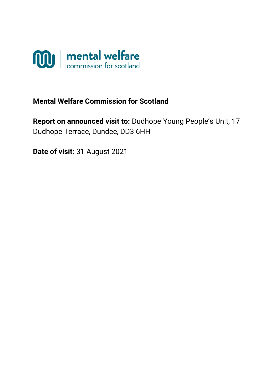

# **Mental Welfare Commission for Scotland**

**Report on announced visit to:** Dudhope Young People's Unit, 17 Dudhope Terrace, Dundee, DD3 6HH

**Date of visit:** 31 August 2021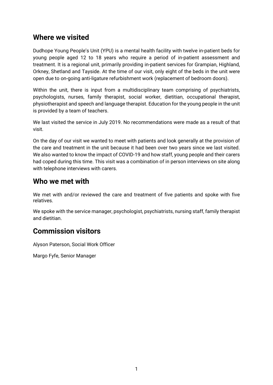### **Where we visited**

Dudhope Young People's Unit (YPU) is a mental health facility with twelve in-patient beds for young people aged 12 to 18 years who require a period of in-patient assessment and treatment. It is a regional unit, primarily providing in-patient services for Grampian, Highland, Orkney, Shetland and Tayside. At the time of our visit, only eight of the beds in the unit were open due to on-going anti-ligature refurbishment work (replacement of bedroom doors).

Within the unit, there is input from a multidisciplinary team comprising of psychiatrists, psychologists, nurses, family therapist, social worker, dietitian, occupational therapist, physiotherapist and speech and language therapist. Education for the young people in the unit is provided by a team of teachers.

We last visited the service in July 2019. No recommendations were made as a result of that visit.

On the day of our visit we wanted to meet with patients and look generally at the provision of the care and treatment in the unit because it had been over two years since we last visited. We also wanted to know the impact of COVID-19 and how staff, young people and their carers had coped during this time. This visit was a combination of in person interviews on site along with telephone interviews with carers.

### **Who we met with**

We met with and/or reviewed the care and treatment of five patients and spoke with five relatives.

We spoke with the service manager, psychologist, psychiatrists, nursing staff, family therapist and dietitian.

## **Commission visitors**

Alyson Paterson, Social Work Officer

Margo Fyfe, Senior Manager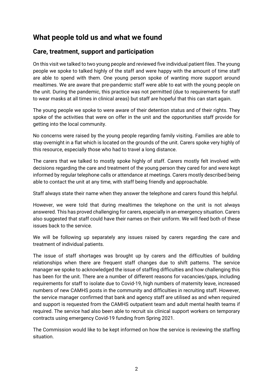## **What people told us and what we found**

#### **Care, treatment, support and participation**

On this visit we talked to two young people and reviewed five individual patient files. The young people we spoke to talked highly of the staff and were happy with the amount of time staff are able to spend with them. One young person spoke of wanting more support around mealtimes. We are aware that pre-pandemic staff were able to eat with the young people on the unit. During the pandemic, this practice was not permitted (due to requirements for staff to wear masks at all times in clinical areas) but staff are hopeful that this can start again.

The young people we spoke to were aware of their detention status and of their rights. They spoke of the activities that were on offer in the unit and the opportunities staff provide for getting into the local community.

No concerns were raised by the young people regarding family visiting. Families are able to stay overnight in a flat which is located on the grounds of the unit. Carers spoke very highly of this resource, especially those who had to travel a long distance.

The carers that we talked to mostly spoke highly of staff. Carers mostly felt involved with decisions regarding the care and treatment of the young person they cared for and were kept informed by regular telephone calls or attendance at meetings. Carers mostly described being able to contact the unit at any time, with staff being friendly and approachable.

Staff always state their name when they answer the telephone and carers found this helpful.

However, we were told that during mealtimes the telephone on the unit is not always answered. This has proved challenging for carers, especially in an emergency situation. Carers also suggested that staff could have their names on their uniform. We will feed both of these issues back to the service.

We will be following up separately any issues raised by carers regarding the care and treatment of individual patients.

The issue of staff shortages was brought up by carers and the difficulties of building relationships when there are frequent staff changes due to shift patterns. The service manager we spoke to acknowledged the issue of staffing difficulties and how challenging this has been for the unit. There are a number of different reasons for vacancies/gaps, including requirements for staff to isolate due to Covid-19, high numbers of maternity leave, increased numbers of new CAMHS posts in the community and difficulties in recruiting staff. However, the service manager confirmed that bank and agency staff are utilised as and when required and support is requested from the CAMHS outpatient team and adult mental health teams if required. The service had also been able to recruit six clinical support workers on temporary contracts using emergency Covid-19 funding from Spring 2021.

The Commission would like to be kept informed on how the service is reviewing the staffing situation.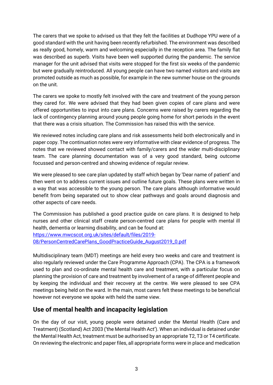The carers that we spoke to advised us that they felt the facilities at Dudhope YPU were of a good standard with the unit having been recently refurbished. The environment was described as really good, homely, warm and welcoming especially in the reception area. The family flat was described as superb. Visits have been well supported during the pandemic. The service manager for the unit advised that visits were stopped for the first six weeks of the pandemic but were gradually reintroduced. All young people can have two named visitors and visits are promoted outside as much as possible, for example in the new summer house on the grounds on the unit.

The carers we spoke to mostly felt involved with the care and treatment of the young person they cared for. We were advised that they had been given copies of care plans and were offered opportunities to input into care plans. Concerns were raised by carers regarding the lack of contingency planning around young people going home for short periods in the event that there was a crisis situation. The Commission has raised this with the service.

We reviewed notes including care plans and risk assessments held both electronically and in paper copy. The continuation notes were very informative with clear evidence of progress. The notes that we reviewed showed contact with family/carers and the wider multi-disciplinary team. The care planning documentation was of a very good standard, being outcome focussed and person-centred and showing evidence of regular review.

We were pleased to see care plan updated by staff which began by 'Dear name of patient' and then went on to address current issues and outline future goals. These plans were written in a way that was accessible to the young person. The care plans although informative would benefit from being separated out to show clear pathways and goals around diagnosis and other aspects of care needs.

The Commission has published a good practice guide on care plans. It is designed to help nurses and other clinical staff create person-centred care plans for people with mental ill health, dementia or learning disability, and can be found at:

[https://www.mwcscot.org.uk/sites/default/files/2019-](https://www.mwcscot.org.uk/sites/default/files/2019-08/PersonCentredCarePlans_GoodPracticeGuide_August2019_0.pdf)

[08/PersonCentredCarePlans\\_GoodPracticeGuide\\_August2019\\_0.pdf](https://www.mwcscot.org.uk/sites/default/files/2019-08/PersonCentredCarePlans_GoodPracticeGuide_August2019_0.pdf)

Multidisciplinary team (MDT) meetings are held every two weeks and care and treatment is also regularly reviewed under the Care Programme Approach (CPA). The CPA is a framework used to plan and co-ordinate mental health care and treatment, with a particular focus on planning the provision of care and treatment by involvement of a range of different people and by keeping the individual and their recovery at the centre. We were pleased to see CPA meetings being held on the ward. In the main, most carers felt these meetings to be beneficial however not everyone we spoke with held the same view.

#### **Use of mental health and incapacity legislation**

On the day of our visit, young people were detained under the Mental Health (Care and Treatment) (Scotland) Act 2003 ('the Mental Health Act'). When an individual is detained under the Mental Health Act, treatment must be authorised by an appropriate T2, T3 or T4 certificate. On reviewing the electronic and paper files, all appropriate forms were in place and medication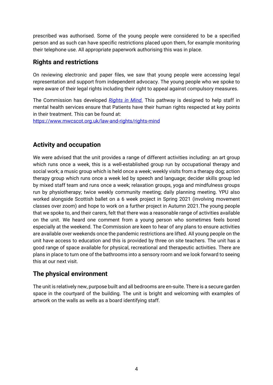prescribed was authorised. Some of the young people were considered to be a specified person and as such can have specific restrictions placed upon them, for example monitoring their telephone use. All appropriate paperwork authorising this was in place.

### **Rights and restrictions**

On reviewing electronic and paper files, we saw that young people were accessing legal representation and support from independent advocacy. The young people who we spoke to were aware of their legal rights including their right to appeal against compulsory measures.

The Commission has developed *[Rights in Mind.](https://www.mwcscot.org.uk/law-and-rights/rights-mind)* This pathway is designed to help staff in mental health services ensure that Patients have their human rights respected at key points in their treatment. This can be found at: <https://www.mwcscot.org.uk/law-and-rights/rights-mind>

### **Activity and occupation**

We were advised that the unit provides a range of different activities including: an art group which runs once a week, this is a well-established group run by occupational therapy and social work; a music group which is held once a week; weekly visits from a therapy dog; action therapy group which runs once a week led by speech and language; decider skills group led by mixed staff team and runs once a week; relaxation groups, yoga and mindfulness groups run by physiotherapy; twice weekly community meeting; daily planning meeting. YPU also worked alongside Scottish ballet on a 6 week project in Spring 2021 (involving movement classes over zoom) and hope to work on a further project in Autumn 2021.The young people that we spoke to, and their carers, felt that there was a reasonable range of activities available on the unit. We heard one comment from a young person who sometimes feels bored especially at the weekend. The Commission are keen to hear of any plans to ensure activities are available over weekends once the pandemic restrictions are lifted. All young people on the unit have access to education and this is provided by three on site teachers. The unit has a good range of space available for physical, recreational and therapeutic activities. There are plans in place to turn one of the bathrooms into a sensory room and we look forward to seeing this at our next visit.

### **The physical environment**

The unit is relatively new, purpose built and all bedrooms are en-suite. There is a secure garden space in the courtyard of the building. The unit is bright and welcoming with examples of artwork on the walls as wells as a board identifying staff.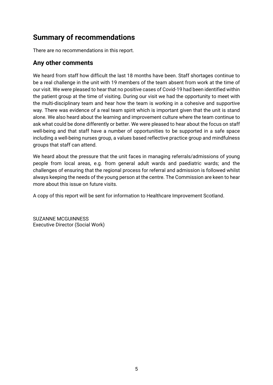# **Summary of recommendations**

There are no recommendations in this report.

#### **Any other comments**

We heard from staff how difficult the last 18 months have been. Staff shortages continue to be a real challenge in the unit with 19 members of the team absent from work at the time of our visit. We were pleased to hear that no positive cases of Covid-19 had been identified within the patient group at the time of visiting. During our visit we had the opportunity to meet with the multi-disciplinary team and hear how the team is working in a cohesive and supportive way. There was evidence of a real team spirit which is important given that the unit is stand alone. We also heard about the learning and improvement culture where the team continue to ask what could be done differently or better. We were pleased to hear about the focus on staff well-being and that staff have a number of opportunities to be supported in a safe space including a well-being nurses group, a values based reflective practice group and mindfulness groups that staff can attend.

We heard about the pressure that the unit faces in managing referrals/admissions of young people from local areas, e.g. from general adult wards and paediatric wards; and the challenges of ensuring that the regional process for referral and admission is followed whilst always keeping the needs of the young person at the centre. The Commission are keen to hear more about this issue on future visits.

A copy of this report will be sent for information to Healthcare Improvement Scotland.

SUZANNE MCGUINNESS Executive Director (Social Work)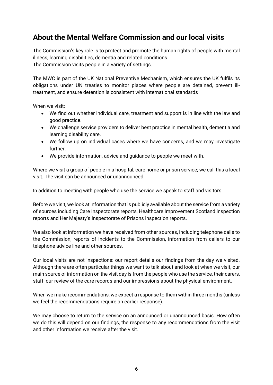## **About the Mental Welfare Commission and our local visits**

The Commission's key role is to protect and promote the human rights of people with mental illness, learning disabilities, dementia and related conditions. The Commission visits people in a variety of settings.

The MWC is part of the UK National Preventive Mechanism, which ensures the UK fulfils its obligations under UN treaties to monitor places where people are detained, prevent illtreatment, and ensure detention is consistent with international standards

When we visit:

- We find out whether individual care, treatment and support is in line with the law and good practice.
- We challenge service providers to deliver best practice in mental health, dementia and learning disability care.
- We follow up on individual cases where we have concerns, and we may investigate further.
- We provide information, advice and guidance to people we meet with.

Where we visit a group of people in a hospital, care home or prison service; we call this a local visit. The visit can be announced or unannounced.

In addition to meeting with people who use the service we speak to staff and visitors.

Before we visit, we look at information that is publicly available about the service from a variety of sources including Care Inspectorate reports, Healthcare Improvement Scotland inspection reports and Her Majesty's Inspectorate of Prisons inspection reports.

We also look at information we have received from other sources, including telephone calls to the Commission, reports of incidents to the Commission, information from callers to our telephone advice line and other sources.

Our local visits are not inspections: our report details our findings from the day we visited. Although there are often particular things we want to talk about and look at when we visit, our main source of information on the visit day is from the people who use the service, their carers, staff, our review of the care records and our impressions about the physical environment.

When we make recommendations, we expect a response to them within three months (unless we feel the recommendations require an earlier response).

We may choose to return to the service on an announced or unannounced basis. How often we do this will depend on our findings, the response to any recommendations from the visit and other information we receive after the visit.